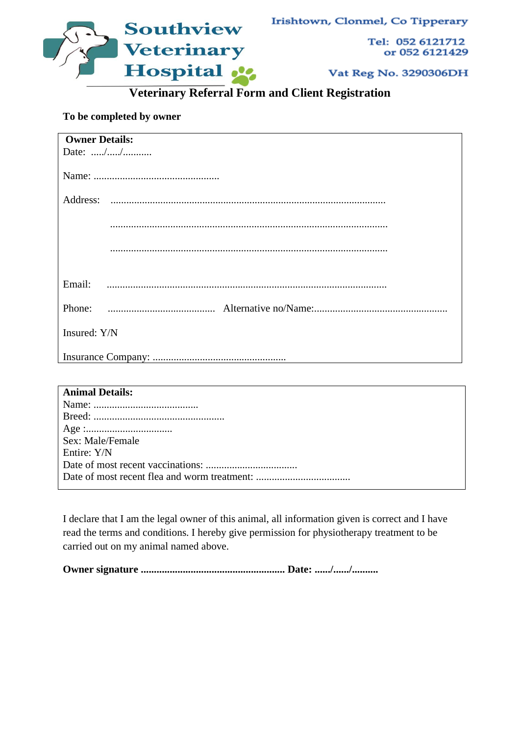



Tel: 052 6121712 or 052 6121429

Vat Reg No. 3290306DH

**Veterinary Referral Form and Client Registration**

## **To be completed by owner**

| <b>Owner Details:</b> |
|-----------------------|
|                       |
|                       |
|                       |
|                       |
|                       |
|                       |
|                       |
|                       |
|                       |
|                       |
| Email:                |
|                       |
|                       |
|                       |
| Insured: Y/N          |
|                       |
|                       |

| <b>Animal Details:</b> |
|------------------------|
|                        |
|                        |
|                        |
| Sex: Male/Female       |
| Entire: Y/N            |
|                        |
|                        |
|                        |

I declare that I am the legal owner of this animal, all information given is correct and I have read the terms and conditions. I hereby give permission for physiotherapy treatment to be carried out on my animal named above.

**Owner signature ....................................................... Date: ....../....../..........**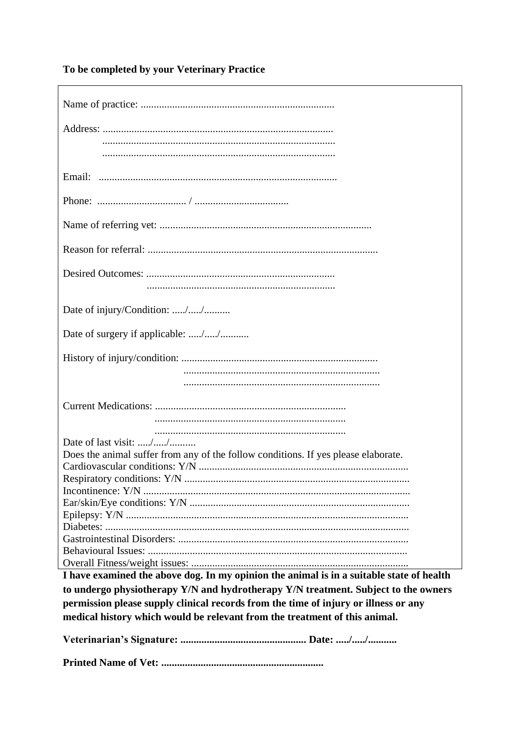To be completed by your Veterinary Practice

 $\mathsf{r}$ 

| Does the animal suffer from any of the follow conditions. If yes please elaborate.       |
|------------------------------------------------------------------------------------------|
|                                                                                          |
|                                                                                          |
|                                                                                          |
|                                                                                          |
|                                                                                          |
|                                                                                          |
|                                                                                          |
|                                                                                          |
| I have examined the above dog. In my opinion the animal is in a suitable state of health |
|                                                                                          |

to undergo physiotherapy Y/N and hydrotherapy Y/N treatment. Subject to the owners permission please supply clinical records from the time of injury or illness or any medical history which would be relevant from the treatment of this animal.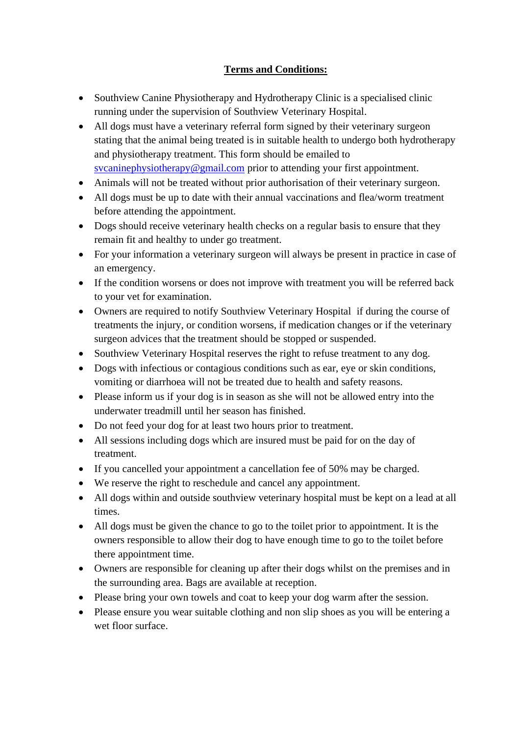## **Terms and Conditions:**

- Southview Canine Physiotherapy and Hydrotherapy Clinic is a specialised clinic running under the supervision of Southview Veterinary Hospital.
- All dogs must have a veterinary referral form signed by their veterinary surgeon stating that the animal being treated is in suitable health to undergo both hydrotherapy and physiotherapy treatment. This form should be emailed to [svcaninephysiotherapy@gmail.com](about:blank) prior to attending your first appointment.
- Animals will not be treated without prior authorisation of their veterinary surgeon.
- All dogs must be up to date with their annual vaccinations and flea/worm treatment before attending the appointment.
- Dogs should receive veterinary health checks on a regular basis to ensure that they remain fit and healthy to under go treatment.
- For your information a veterinary surgeon will always be present in practice in case of an emergency.
- If the condition worsens or does not improve with treatment you will be referred back to your vet for examination.
- Owners are required to notify Southview Veterinary Hospital if during the course of treatments the injury, or condition worsens, if medication changes or if the veterinary surgeon advices that the treatment should be stopped or suspended.
- Southview Veterinary Hospital reserves the right to refuse treatment to any dog.
- Dogs with infectious or contagious conditions such as ear, eye or skin conditions, vomiting or diarrhoea will not be treated due to health and safety reasons.
- Please inform us if your dog is in season as she will not be allowed entry into the underwater treadmill until her season has finished.
- Do not feed your dog for at least two hours prior to treatment.
- All sessions including dogs which are insured must be paid for on the day of treatment.
- If you cancelled your appointment a cancellation fee of 50% may be charged.
- We reserve the right to reschedule and cancel any appointment.
- All dogs within and outside southview veterinary hospital must be kept on a lead at all times.
- All dogs must be given the chance to go to the toilet prior to appointment. It is the owners responsible to allow their dog to have enough time to go to the toilet before there appointment time.
- Owners are responsible for cleaning up after their dogs whilst on the premises and in the surrounding area. Bags are available at reception.
- Please bring your own towels and coat to keep your dog warm after the session.
- Please ensure you wear suitable clothing and non slip shoes as you will be entering a wet floor surface.